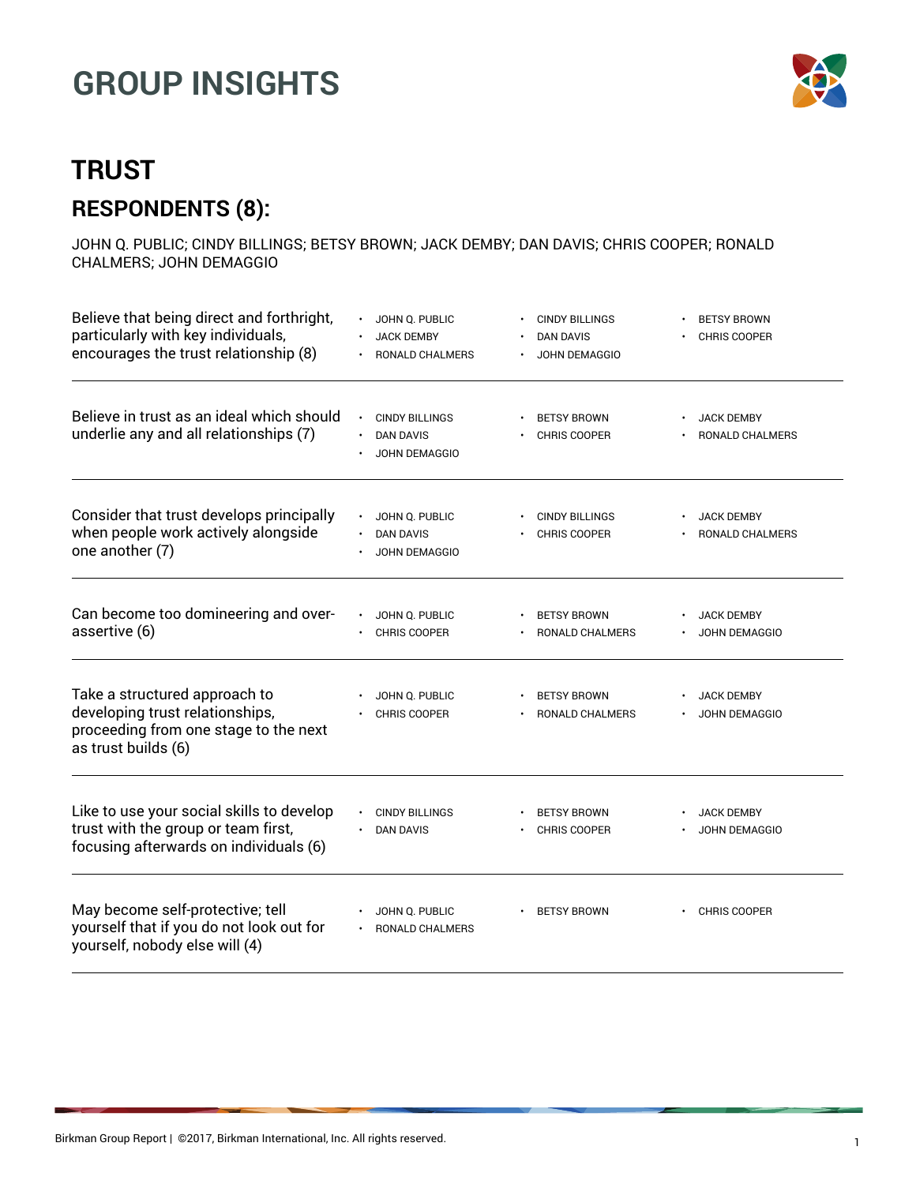

### **TRUST RESPONDENTS (8):**

JOHN Q. PUBLIC; CINDY BILLINGS; BETSY BROWN; JACK DEMBY; DAN DAVIS; CHRIS COOPER; RONALD CHALMERS; JOHN DEMAGGIO

| Believe that being direct and forthright,<br>particularly with key individuals,<br>encourages the trust relationship (8)         | JOHN Q. PUBLIC<br><b>JACK DEMBY</b><br>RONALD CHALMERS                         | <b>CINDY BILLINGS</b><br><b>DAN DAVIS</b><br>JOHN DEMAGGIO | <b>BETSY BROWN</b><br><b>CHRIS COOPER</b>   |
|----------------------------------------------------------------------------------------------------------------------------------|--------------------------------------------------------------------------------|------------------------------------------------------------|---------------------------------------------|
| Believe in trust as an ideal which should<br>underlie any and all relationships (7)                                              | <b>CINDY BILLINGS</b><br>$\bullet$<br><b>DAN DAVIS</b><br><b>JOHN DEMAGGIO</b> | <b>BETSY BROWN</b><br><b>CHRIS COOPER</b>                  | <b>JACK DEMBY</b><br><b>RONALD CHALMERS</b> |
| Consider that trust develops principally<br>when people work actively alongside<br>one another (7)                               | JOHN Q. PUBLIC<br><b>DAN DAVIS</b><br><b>JOHN DEMAGGIO</b>                     | <b>CINDY BILLINGS</b><br><b>CHRIS COOPER</b>               | <b>JACK DEMBY</b><br><b>RONALD CHALMERS</b> |
| Can become too domineering and over-<br>assertive (6)                                                                            | JOHN Q. PUBLIC<br><b>CHRIS COOPER</b>                                          | <b>BETSY BROWN</b><br><b>RONALD CHALMERS</b>               | <b>JACK DEMBY</b><br><b>JOHN DEMAGGIO</b>   |
| Take a structured approach to<br>developing trust relationships,<br>proceeding from one stage to the next<br>as trust builds (6) | JOHN Q. PUBLIC<br><b>CHRIS COOPER</b>                                          | <b>BETSY BROWN</b><br>RONALD CHALMERS                      | <b>JACK DEMBY</b><br>JOHN DEMAGGIO          |
| Like to use your social skills to develop<br>trust with the group or team first,<br>focusing afterwards on individuals (6)       | <b>CINDY BILLINGS</b><br><b>DAN DAVIS</b>                                      | <b>BETSY BROWN</b><br><b>CHRIS COOPER</b>                  | <b>JACK DEMBY</b><br><b>JOHN DEMAGGIO</b>   |
| May become self-protective; tell<br>yourself that if you do not look out for<br>yourself, nobody else will (4)                   | JOHN Q. PUBLIC<br>RONALD CHALMERS                                              | <b>BETSY BROWN</b>                                         | <b>CHRIS COOPER</b>                         |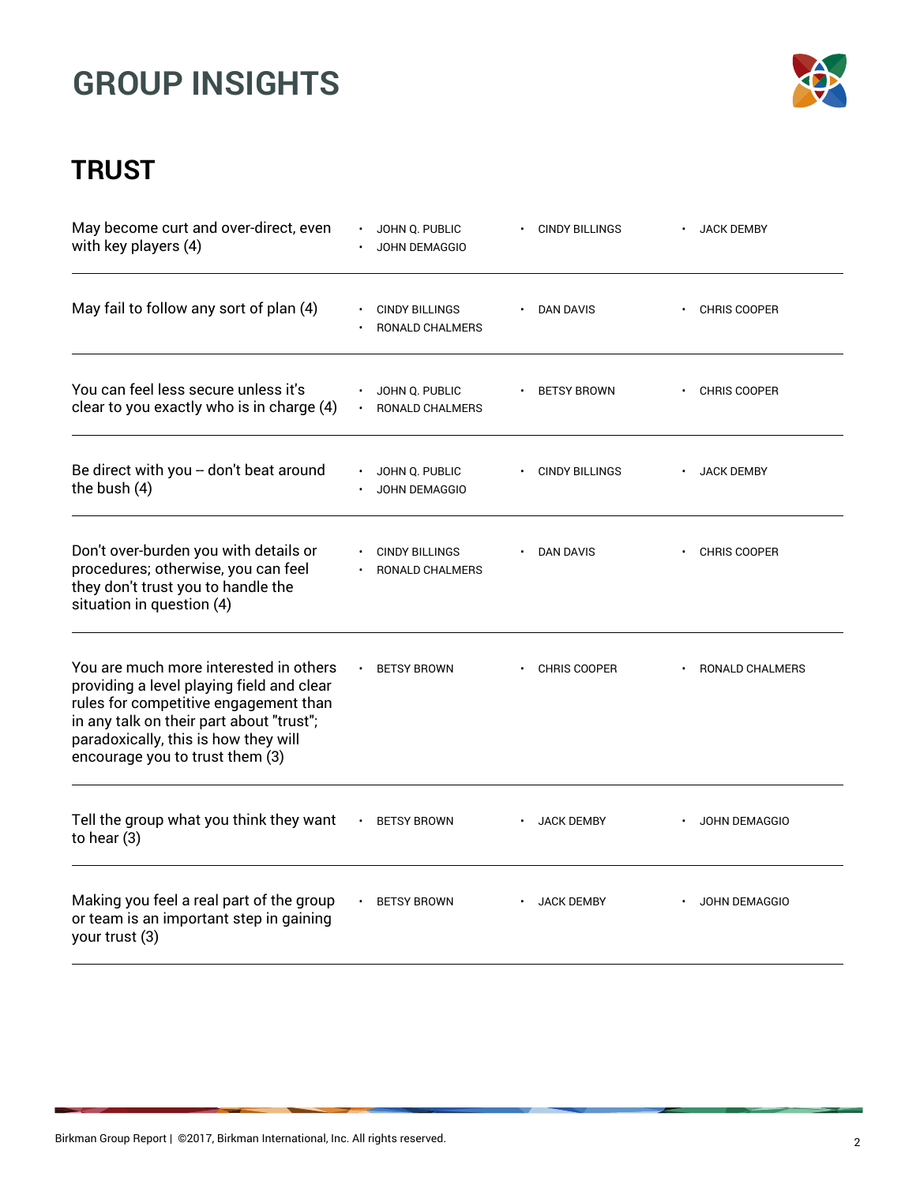

| May become curt and over-direct, even<br>with key players (4)                                                                                                                                                                                       | JOHN Q. PUBLIC<br><b>JOHN DEMAGGIO</b>   | <b>CINDY BILLINGS</b> | <b>JACK DEMBY</b>    |
|-----------------------------------------------------------------------------------------------------------------------------------------------------------------------------------------------------------------------------------------------------|------------------------------------------|-----------------------|----------------------|
| May fail to follow any sort of plan (4)                                                                                                                                                                                                             | <b>CINDY BILLINGS</b><br>RONALD CHALMERS | DAN DAVIS             | CHRIS COOPER         |
| You can feel less secure unless it's<br>clear to you exactly who is in charge (4)                                                                                                                                                                   | JOHN Q. PUBLIC<br><b>RONALD CHALMERS</b> | <b>BETSY BROWN</b>    | <b>CHRIS COOPER</b>  |
| Be direct with you -- don't beat around<br>the bush (4)                                                                                                                                                                                             | JOHN Q. PUBLIC<br>JOHN DEMAGGIO          | <b>CINDY BILLINGS</b> | <b>JACK DEMBY</b>    |
| Don't over-burden you with details or<br>procedures; otherwise, you can feel<br>they don't trust you to handle the<br>situation in question (4)                                                                                                     | <b>CINDY BILLINGS</b><br>RONALD CHALMERS | DAN DAVIS             | <b>CHRIS COOPER</b>  |
| You are much more interested in others<br>providing a level playing field and clear<br>rules for competitive engagement than<br>in any talk on their part about "trust";<br>paradoxically, this is how they will<br>encourage you to trust them (3) | <b>BETSY BROWN</b>                       | <b>CHRIS COOPER</b>   | RONALD CHALMERS      |
| Tell the group what you think they want<br>to hear (3)                                                                                                                                                                                              | <b>BETSY BROWN</b><br>$\bullet$          | <b>JACK DEMBY</b>     | <b>JOHN DEMAGGIO</b> |
| Making you feel a real part of the group<br>or team is an important step in gaining<br>your trust (3)                                                                                                                                               | <b>BETSY BROWN</b>                       | <b>JACK DEMBY</b>     | <b>JOHN DEMAGGIO</b> |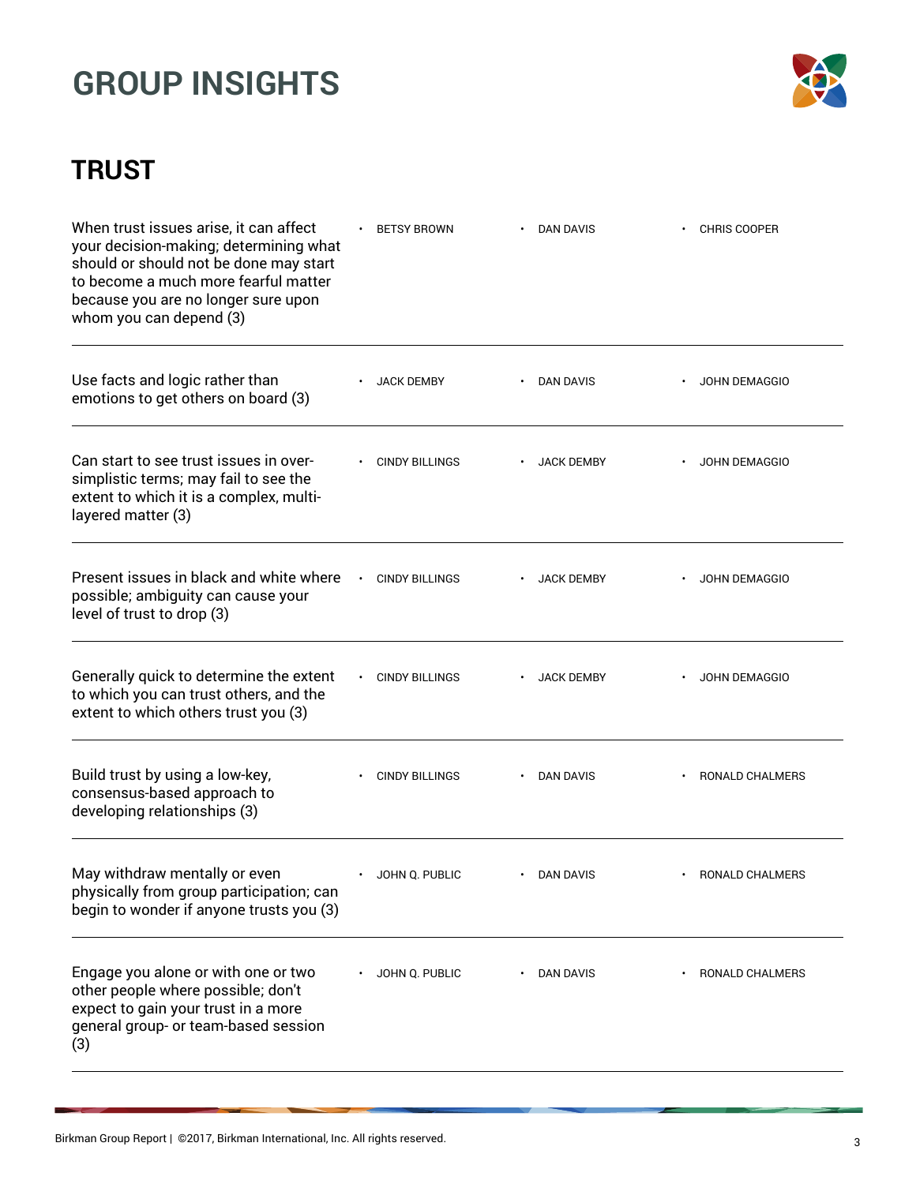

| When trust issues arise, it can affect<br>your decision-making; determining what<br>should or should not be done may start<br>to become a much more fearful matter<br>because you are no longer sure upon<br>whom you can depend (3) | <b>BETSY BROWN</b>    | <b>DAN DAVIS</b>  | <b>CHRIS COOPER</b>         |
|--------------------------------------------------------------------------------------------------------------------------------------------------------------------------------------------------------------------------------------|-----------------------|-------------------|-----------------------------|
| Use facts and logic rather than<br>emotions to get others on board (3)                                                                                                                                                               | <b>JACK DEMBY</b>     | DAN DAVIS         | JOHN DEMAGGIO               |
| Can start to see trust issues in over-<br>simplistic terms; may fail to see the<br>extent to which it is a complex, multi-<br>layered matter (3)                                                                                     | <b>CINDY BILLINGS</b> | <b>JACK DEMBY</b> | <b>JOHN DEMAGGIO</b>        |
| Present issues in black and white where<br>possible; ambiguity can cause your<br>level of trust to drop (3)                                                                                                                          | <b>CINDY BILLINGS</b> | <b>JACK DEMBY</b> | <b>JOHN DEMAGGIO</b>        |
| Generally quick to determine the extent<br>to which you can trust others, and the<br>extent to which others trust you (3)                                                                                                            | <b>CINDY BILLINGS</b> | <b>JACK DEMBY</b> | <b>JOHN DEMAGGIO</b>        |
| Build trust by using a low-key,<br>consensus-based approach to<br>developing relationships (3)                                                                                                                                       | <b>CINDY BILLINGS</b> | DAN DAVIS         | RONALD CHALMERS             |
| May withdraw mentally or even<br>physically from group participation; can<br>begin to wonder if anyone trusts you (3)                                                                                                                | JOHN Q. PUBLIC        | DAN DAVIS         | <b>RONALD CHALMERS</b><br>٠ |
| Engage you alone or with one or two<br>other people where possible; don't<br>expect to gain your trust in a more<br>general group- or team-based session<br>(3)                                                                      | JOHN Q. PUBLIC        | <b>DAN DAVIS</b>  | RONALD CHALMERS             |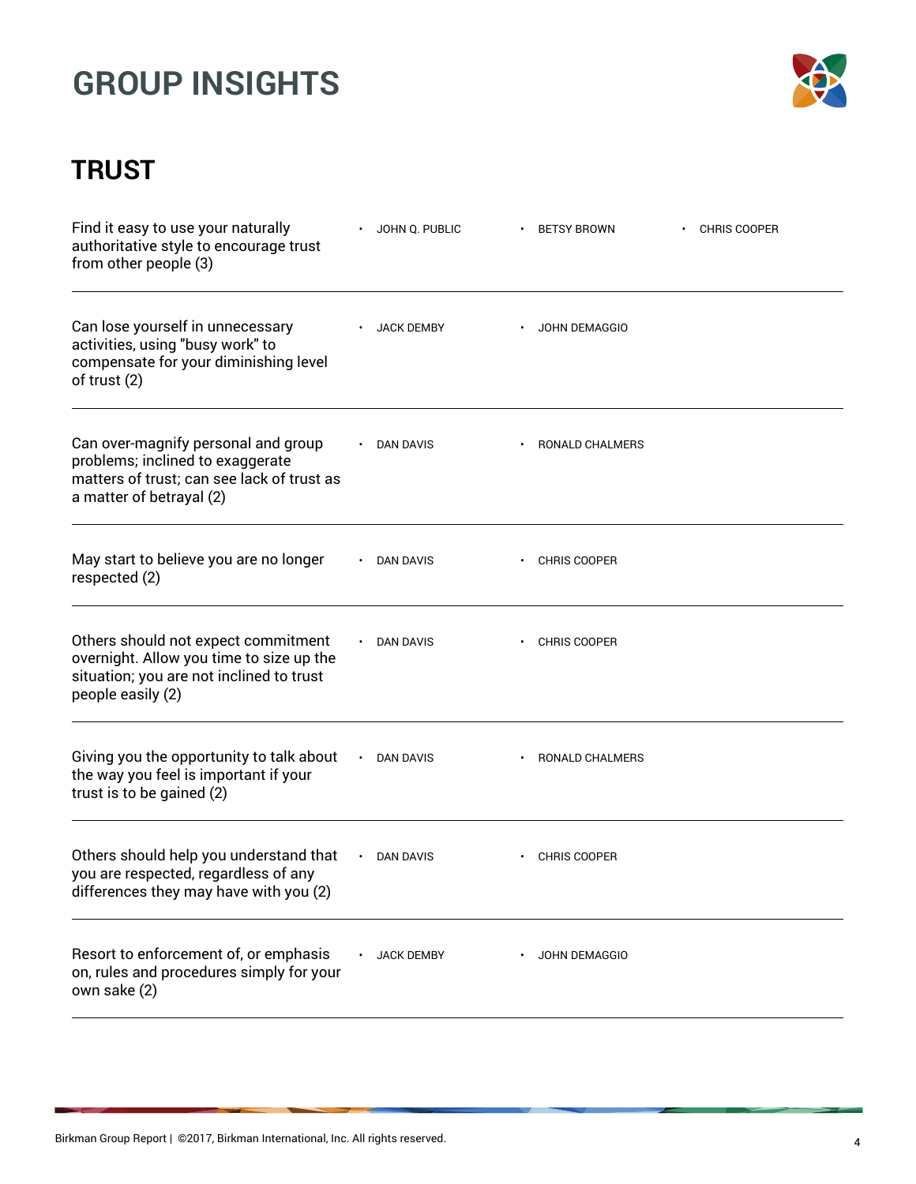

| Find it easy to use your naturally<br>authoritative style to encourage trust<br>from other people (3)                                             | JOHN Q. PUBLIC    | <b>BETSY BROWN</b>  | <b>CHRIS COOPER</b> |
|---------------------------------------------------------------------------------------------------------------------------------------------------|-------------------|---------------------|---------------------|
| Can lose yourself in unnecessary<br>activities, using "busy work" to<br>compensate for your diminishing level<br>of trust (2)                     | <b>JACK DEMBY</b> | JOHN DEMAGGIO       |                     |
| Can over-magnify personal and group<br>problems; inclined to exaggerate<br>matters of trust; can see lack of trust as<br>a matter of betrayal (2) | DAN DAVIS         | RONALD CHALMERS     |                     |
| May start to believe you are no longer<br>respected (2)                                                                                           | DAN DAVIS         | CHRIS COOPER        |                     |
| Others should not expect commitment<br>overnight. Allow you time to size up the<br>situation; you are not inclined to trust<br>people easily (2)  | DAN DAVIS         | <b>CHRIS COOPER</b> |                     |
| Giving you the opportunity to talk about<br>the way you feel is important if your<br>trust is to be gained (2)                                    | DAN DAVIS         | RONALD CHALMERS     |                     |
| Others should help you understand that<br>you are respected, regardless of any<br>differences they may have with you (2)                          | <b>DAN DAVIS</b>  | <b>CHRIS COOPER</b> |                     |
| Resort to enforcement of, or emphasis<br>on, rules and procedures simply for your<br>own sake (2)                                                 | <b>JACK DEMBY</b> | JOHN DEMAGGIO       |                     |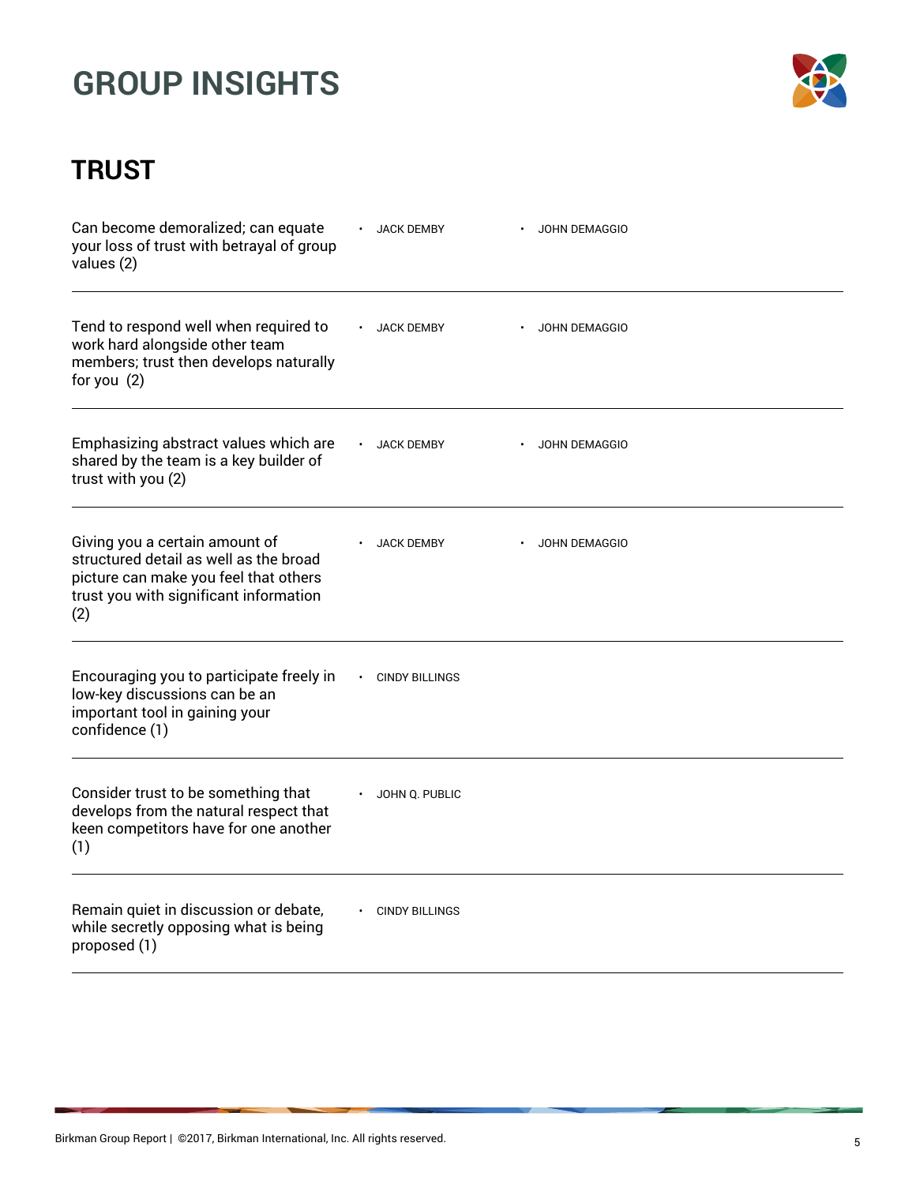

| Can become demoralized; can equate<br>your loss of trust with betrayal of group<br>values (2)                                                                      | <b>JACK DEMBY</b>     | <b>JOHN DEMAGGIO</b> |  |
|--------------------------------------------------------------------------------------------------------------------------------------------------------------------|-----------------------|----------------------|--|
| Tend to respond well when required to<br>work hard alongside other team<br>members; trust then develops naturally<br>for you $(2)$                                 | <b>JACK DEMBY</b>     | <b>JOHN DEMAGGIO</b> |  |
| Emphasizing abstract values which are<br>shared by the team is a key builder of<br>trust with you (2)                                                              | <b>JACK DEMBY</b>     | JOHN DEMAGGIO        |  |
| Giving you a certain amount of<br>structured detail as well as the broad<br>picture can make you feel that others<br>trust you with significant information<br>(2) | <b>JACK DEMBY</b>     | <b>JOHN DEMAGGIO</b> |  |
| Encouraging you to participate freely in<br>low-key discussions can be an<br>important tool in gaining your<br>confidence (1)                                      | <b>CINDY BILLINGS</b> |                      |  |
| Consider trust to be something that<br>develops from the natural respect that<br>keen competitors have for one another<br>(1)                                      | JOHN Q. PUBLIC        |                      |  |
| Remain quiet in discussion or debate,<br>while secretly opposing what is being<br>proposed (1)                                                                     | <b>CINDY BILLINGS</b> |                      |  |